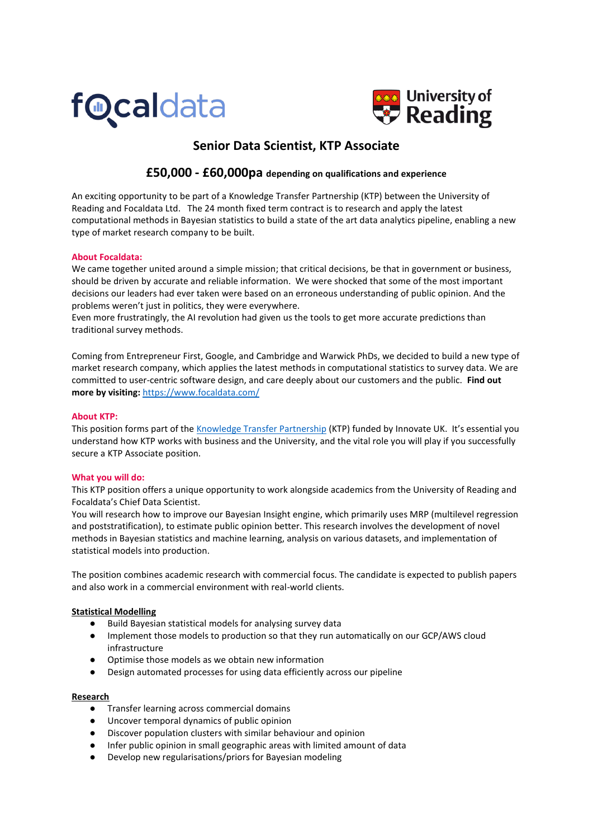



# **Senior Data Scientist, KTP Associate**

# **£50,000 - £60,000pa depending on qualifications and experience**

An exciting opportunity to be part of a Knowledge Transfer Partnership (KTP) between the University of Reading and Focaldata Ltd. The 24 month fixed term contract is to research and apply the latest computational methods in Bayesian statistics to build a state of the art data analytics pipeline, enabling a new type of market research company to be built.

# **About Focaldata:**

We came together united around a simple mission; that critical decisions, be that in government or business, should be driven by accurate and reliable information. We were shocked that some of the most important decisions our leaders had ever taken were based on an erroneous understanding of public opinion. And the problems weren't just in politics, they were everywhere.

Even more frustratingly, the AI revolution had given us the tools to get more accurate predictions than traditional survey methods.

Coming from Entrepreneur First, Google, and Cambridge and Warwick PhDs, we decided to build a new type of market research company, which applies the latest methods in computational statistics to survey data. We are committed to user-centric software design, and care deeply about our customers and the public. **Find out more by visiting:** <https://www.focaldata.com/>

# **About KTP:**

This position forms part of the [Knowledge Transfer Partnership](http://www.reading.ac.uk/ktc/KnowledgeTransferPartnership/KnowledgeTansferCentre-KTP.aspx) (KTP) funded by Innovate UK. It's essential you understand how KTP works with business and the University, and the vital role you will play if you successfully secure a KTP Associate position.

#### **What you will do:**

This KTP position offers a unique opportunity to work alongside academics from the University of Reading and Focaldata's Chief Data Scientist.

You will research how to improve our Bayesian Insight engine, which primarily uses MRP (multilevel regression and poststratification), to estimate public opinion better. This research involves the development of novel methods in Bayesian statistics and machine learning, analysis on various datasets, and implementation of statistical models into production.

The position combines academic research with commercial focus. The candidate is expected to publish papers and also work in a commercial environment with real-world clients.

#### **Statistical Modelling**

- Build Bayesian statistical models for analysing survey data
- Implement those models to production so that they run automatically on our GCP/AWS cloud infrastructure
- Optimise those models as we obtain new information
- Design automated processes for using data efficiently across our pipeline

#### **Research**

- Transfer learning across commercial domains
- Uncover temporal dynamics of public opinion
- Discover population clusters with similar behaviour and opinion
- Infer public opinion in small geographic areas with limited amount of data
- Develop new regularisations/priors for Bayesian modeling